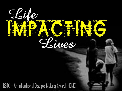

BBTC - An Intentional Disciple-Making Church (IDMC)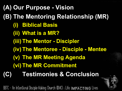**(A) Our Purpose - Vision (B) The Mentoring Relationship (MR) (i) Biblical Basis (ii) What is a MR? (iii) The Mentor - Discipler (iv) The Mentoree - Disciple - Mentee (v) The MR Meeting Agenda (vi) The MR Commitment (C) Testimonies & Conclusion**

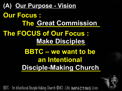**(A) Our Purpose - Vision Our Focus : The Great Commission The FOCUS of Our Focus : \_\_\_\_\_\_\_\_\_\_\_\_\_ Make Disciples BBTC – we want to be an Intentional \_\_\_\_\_\_\_\_\_\_\_\_\_\_\_\_\_\_\_\_\_ Disciple-Making Church**

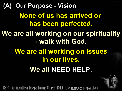### **(A) Our Purpose - Vision**

**None of us has arrived or has been perfected. We are all working on our spirituality - walk with God.**

> **We are all working on issues in our lives. We all NEED HELP.**

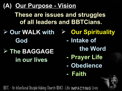### **(A) Our Purpose - Vision**

**These are issues and struggles of all leaders and BBTCians.**

- **Our WALK with Our Spirituality God**
- **The BAGGAGE in our lives**
- 
- **- Intake of**
	- **the Word**
- **- Prayer Life**
- **- Obedience**
- **- Faith**

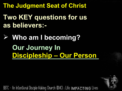**The Judgment Seat of Christ**

## **Two KEY questions for us as believers:-**

# **Who am I becoming? Our Journey In Discipleship – Our Person**

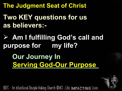**The Judgment Seat of Christ**

### **Two KEY questions for us as believers:-**

### **Am I fulfilling God's call and purpose for my life?**

**Our Journey In Serving God-Our Purpose** 

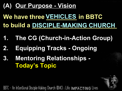### **(A) Our Purpose - Vision**

**We have three \_\_\_\_\_\_\_\_\_ in BBTC VEHICLES to build a DISCIPLE-MAKING CHURCH** 

- **1. The CG (Church-in-Action Group)**
- **2. Equipping Tracks - Ongoing**
- **3. Mentoring Relationships - Today's Topic**

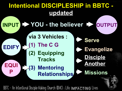#### **YOU - the believer INPUT OUTPUT Evangelize Serve via 3 Vehicles : (1) The C G (2) Equipping Tracks (3) Mentoring Relationships Intentional DISCIPLESHIP in BBTC updated EQUI P EDIFY Disciple Another Missions**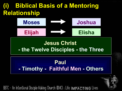### **(i) Biblical Basis of a Mentoring Relationship**



#### **Jesus Christ - the Twelve Disciples - the Three**

#### **Paul - Timothy - Faithful Men - Others**

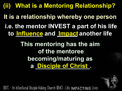**(ii) What is a Mentoring Relationship? i.e. the mentor INVEST a part of his life to \_\_\_\_\_\_\_\_ and \_\_\_\_\_\_ another life Influence Impact It is a relationship whereby one person**

> **This mentoring has the aim of the mentoree becoming/maturing as a \_\_\_\_\_\_\_\_\_\_\_\_\_\_\_\_. Disciple of Christ**

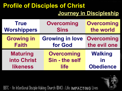### **Profile of Disciples of Christ Journey in Discipleship**

| <b>True</b>        | <b>Overcoming</b>      | <b>Overcoming</b> |  |
|--------------------|------------------------|-------------------|--|
| <b>Worshippers</b> | <b>Sins</b>            | the world         |  |
| <b>Growing in</b>  | <b>Growing in love</b> | <b>Overcoming</b> |  |
| <b>Faith</b>       | for God                | the evil one      |  |
| <b>Maturing</b>    | <b>Overcoming</b>      | <b>Walking</b>    |  |
| into Christ        | Sin - the self         | in                |  |
| <b>likeness</b>    | <b>life</b>            | <b>Obedience</b>  |  |

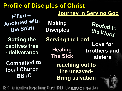**Profile of Disciples of Christ Journey in Serving God Filled – Anointed with the Spirit Rooted**<br> **the Spirit Disciples** *the Let* **the Word Setting the Serving the Lord captives free - deliverance Committed to local Church - BBTC Love for brothers and sisters reaching out to the unsaved-Bring salvation Healing The Sick Making Disciples**

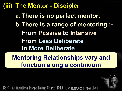#### **(iii) The Mentor - Discipler**

**a. There is no perfect mentor. b.There is a range of mentoring :- From Passive to Intensive From Less Deliberate to More Deliberate**

**Mentoring Relationships vary and function along a continuum**

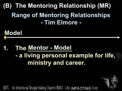# **Model**

### **1. The Mentor - Model - a living personal example for life, ministry and career.**

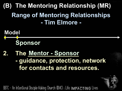- **Model Sponsor**
- **2. The Mentor Sponsor - guidance, protection, network**
	- **for contacts and resources.**

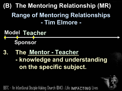- **Model TeacherSponsor**
- **3. The Mentor Teacher - knowledge and understanding on the specific subject.**

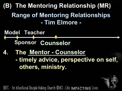

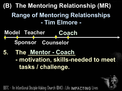

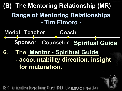

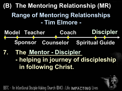

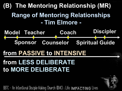

## **from PASSIVE to INTENSIVE from LESS DELIBERATE to MORE DELIBERATE**

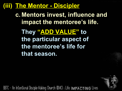#### **(iii) The Mentor - Discipler**

**c. Mentors invest, influence and impact the mentoree's life.**

**They "ADD VALUE" to the particular aspect of the mentoree's life for that season.**

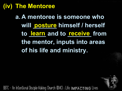#### **(iv) The Mentoree**

**a. A mentoree is someone who will \_\_\_\_\_\_\_ himself / herself posture to** <u>Learn</u> and to **<u>receive</u>** from **the mentor, inputs into areas of his life and ministry.**

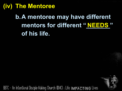#### **(iv) The Mentoree**

## **b.A mentoree may have different** mentors for different " NEEDS " **of his life.**

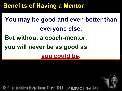#### **Benefits of Having a Mentor**

# **You may be good and even better than everyone else. But without a coach-mentor, you will never be as good as you could be.**

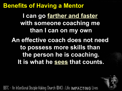#### **Benefits of Having a Mentor**

**I can go farther and faster with someone coaching me than I can on my own**

**An effective coach does not need to possess more skills than the person he is coaching. It is what he sees that counts.**

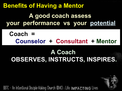**Benefits of Having a Mentor A good coach assess your performance vs your potential**

**Coach = Counselor + Consultant + Mentor**

### **A Coach OBSERVES, INSTRUCTS, INSPIRES.**

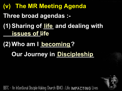**(v) The MR Meeting Agenda Three broad agendas :- (1)Sharing of \_\_\_ and dealing with life \_\_\_\_\_\_\_\_\_\_\_. issues of life**

# **(2) Who am I becoming? Our Journey in Discipleship**

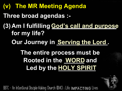**(v) The MR Meeting Agenda Three broad agendas :- (3) Am I fulfilling \_\_\_\_\_\_\_\_\_\_\_\_\_\_\_\_\_\_\_ God's call and purpose for my life? The entire process must be Rooted in the WORD** and **Led by the \_\_\_\_\_\_\_\_\_\_\_ HOLY SPIRITOur Journey in Serving the Lord.** 

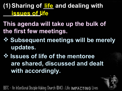### **(1)Sharing of \_\_\_ and dealing with life\_\_\_issues of life**

- **This agenda will take up the bulk of the first few meetings.**
- **Subsequent meetings will be merely updates.**
- $\div$  **Issues of life of the mentoree are shared, discussed and dealt with accordingly.**

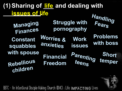### **(1)Sharing of \_\_\_ and dealing with lifeissues of life**

**Managing Finances Struggle with pornography Rebellious children Constant squabbles** with spouse<br>
Financial Parenting **teens Short temper Problems with boss Work issues Worries & anxieties Handling Fears Financial Freedom**

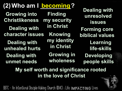### **(2)Who am I \_b\_e\_c\_o\_m\_\_in\_g\_?**

**Growing into Christlikeness Dealing with character issues Dealing with unhealed hurts Dealing with unmet needs**

**Finding my security in Christ Knowing my identity in Christ Growing in wholeness**

**Learning life-skills Forming core biblical values Developing people skills Dealing with unresolved issues**

#### **My self worth and significance rooted in the love of Christ**

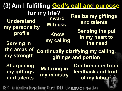|                                                 |                                                 | (3) Am I fulfilling God's call and purpose                        |
|-------------------------------------------------|-------------------------------------------------|-------------------------------------------------------------------|
| <b>Understand</b><br>my personality             | for my life?<br><b>Inward</b><br><b>Witness</b> | <b>Realize my giftings</b><br>and talents                         |
| profile<br><b>Serving in</b>                    | Know<br>my calling                              | <b>Sensing the pull</b><br>in my heart to<br>the need             |
| the areas of<br>my strength                     |                                                 | <b>Continually clarifying my calling,</b><br>giftings and portion |
| <b>Sharpening</b><br>my giftings<br>and talents | <b>Maturing in</b><br>my ministry               | <b>Confirmation from</b><br>feedback and fruit<br>of my labour    |

 $\mathbf{r}$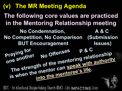**(v) The MR Meeting Agenda No Offenses No Condemnation, No Competition, No Comparison (Submission BUT Encouragement A & C Issues) P & C Praying for one another The following core values are practiced in the Mentoring Relationship meeting** aying **canother** No Offenso and The another near and the mentoring relationship<br>The strength of the mentoring with authorit **is when the mentor can speak with authority into the mentoree's life.**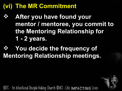### **(vi) The MR Commitment**

 **After you have found your mentor / mentoree, you commit to the Mentoring Relationship for 1 - 2 years.**

### $\Diamond$  You decide the frequency of **Mentoring Relationship meetings.**

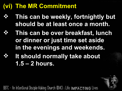### **(vi) The MR Commitment**

- **This can be weekly, fortnightly but should be at least once a month.**
	- **This can be over breakfast, lunch or dinner or just time set aside in the evenings and weekends.**
	- **It should normally take about 1.5 – 2 hours.**

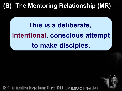### **(B) The Mentoring Relationship (MR)**

# **This is a deliberate, intentional, conscious attempt to make disciples.**

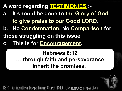- **A word regarding TESTIMONIES :-**
- **a. It should be done to the Glory of God to give praise to our Good LORD.**
- **b. No Condemnation, No Comparison for**
- **those struggling on this issue.**
- **c. This is for Encouragement.**

#### **Hebrews 6:12 … through faith and perseverance inherit the promises.**

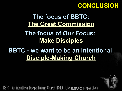#### **CONCLUSION**

### **The focus of BBTC: The Great Commission The focus of Our Focus: Make Disciples**

### **BBTC - we want to be an Intentional Disciple-Making Church**

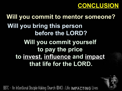

### **Will you commit to mentor someone? Will you bring this person before the LORD? Will you commit yourself to pay the price to invest, influence and impact that life for the LORD.**